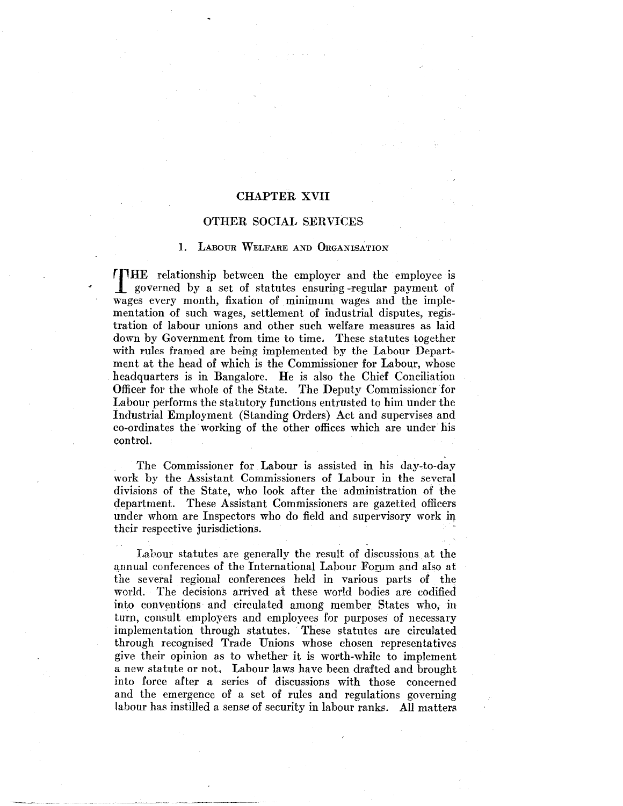# CHAPTER XVII

# OTHER SOCIAL SERVICES

## 1. LABOUR WELFARE AND ORGANISATION

THE relationship between the employer and the employee is governed by a set of statutes ensuring -regular payment of wages every month, fixation of minimum wages and the implementation of such wages, settlement of industrial disputes, registration of labour unions and other such welfare measures as laid down by Government from time to time, These statutes together with rules framed are being implemented by the Labour Department at the head of which is the Commissioner for Labour, whose headquarters is in Bangalore. He is also the Chief Conciliation Officer for the whole of the State. The Deputy Commissioner for Labour performs the statutory functions entrusted to him under the Industrial Employment (Standing Orders) Act and supervises and co-ordinates the working of the other offices which are under his control.

The Commissioner for Labour is assisted in his day-to-day work by the Assistant Commissioners of Labour in the several divisions of the State, who look after the administration of the department. These Assistant Commissioners are gazetted officers under whom are Inspectors who do field and supervisory work in their respective jurisdictions.

Labour statutes are generally the result of discussions at the annual conferences of the International Labour Forum and also at the several regional conferences held in various parts of the world. The decisions arrived at these world bodies are codified into conventions and circulated among member States who, in turn, consult employers and employees for purposes of necessary implementation through statutes. These statutes are circulated through recognised Trade Unions whose chosen representatives give their opinion as to whether it is worth-while to implement a new statute or not. Labour laws have been drafted and brought into force after a series of discussions with those concerned and the emergence of a set of rules and regulations governing labour has instilled a sense of security in labour ranks. All matters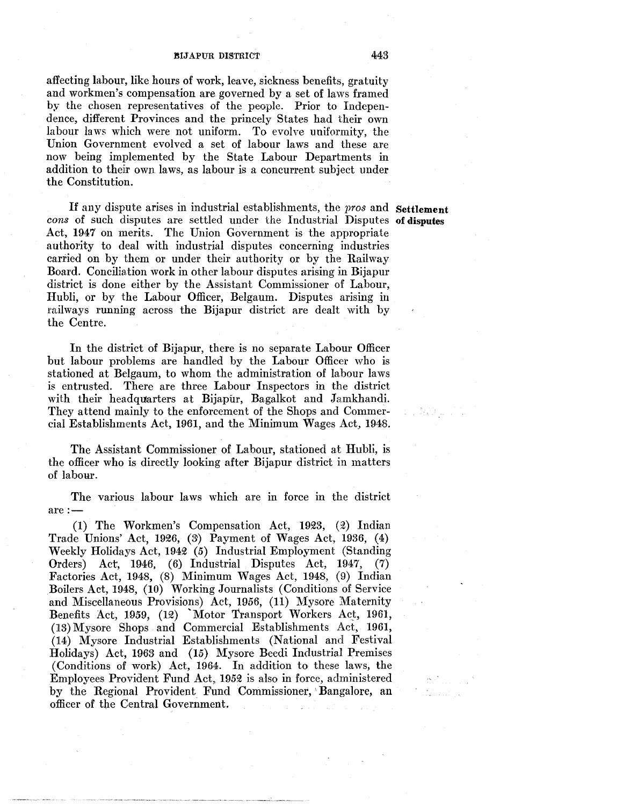affecting labour, like hours of work, leave, sickness benefits, gratuity and workmen's compensation are governed by a set of laws framed by the chosen representatives of the people. Prior to Independence, different Provinces and the princely States had their own labour laws which were not uniform. To evolve uniformity, the Union Government evolved a set of labour laws and these are now being implemented by the State Labour Departments in addition to their own laws, as labour is a concurrent subject under the Constitution.

If any dispute arises in industrial establishments, the pros and Settlement cons of such disputes are settled under the Industrial Disputes of disputes Act, 1947 on merits. The Union Government is the appropriate authority to deal with industrial disputes concerning industries carried on by them or under their authority or by the Railway Board. Conciliation work in other labour disputes arising in Bijapur district is done either by the Assistant Commissioner of Labour, Hubli, or by the Labour Officer, Belgaum. Disputes arising in railways running across the Bijapur district are dealt with by the Centre.

In the district of Bijapur, there is no separate Labour Officer but labour problems are handled by the Labour Officer who is stationed at Belgaum, to whom the administration of labour laws is entrusted. There are three Labour Inspectors in the district with their headquarters at Bijapur, Bagalkot and Jamkhandi. They attend mainly to the enforcement of the Shops and Commercial Establishments Act, 1961, and the Minimum Wages Act, 1948.

The Assistant Commissioner of Labour, stationed at Hubli, is the officer who is directly looking after Bijapur district in matters of labour.

The various labour laws which are in force in the district are:-

 $(1)$  The Workmen's Compensation Act, 1923,  $(2)$  Indian Trade Unions' Act, 1926, (3) Payment of Wages Act, 1936,  $(4)$ Weekly Holidays Act, 1942 (5) Industrial Employment (Standing Orders) Act, 1946, (6) Industrial Disputes Act, 1947, (7) Factories Act, 1948, (8) Minimum Wages Act, 1948, (9) Indian Boilers Act, 1948, (10) Working Journalists (Conditions of Service and Miscellaneous Provisions) Act, 1956, (11) Mysore Maternity Benefits Act, 1959, (12) 'Motor Transport Workers Act, 1961, (13) Mysore Shops and Commercial Establishments Act, 1961, (ll4) Mysore Industrial Establishments (National and Festival Holidays) Act, 1963 and (15) Mysore Beedi Industrial Premises (Conditions of work) Act, 1964. In addition to these laws, the Employees Provident Fund Act, 1952 is also in force, administered by the Regional Provident Fund Commissioner, 'Bangalore, an officer of the Central Government.

a la Battalla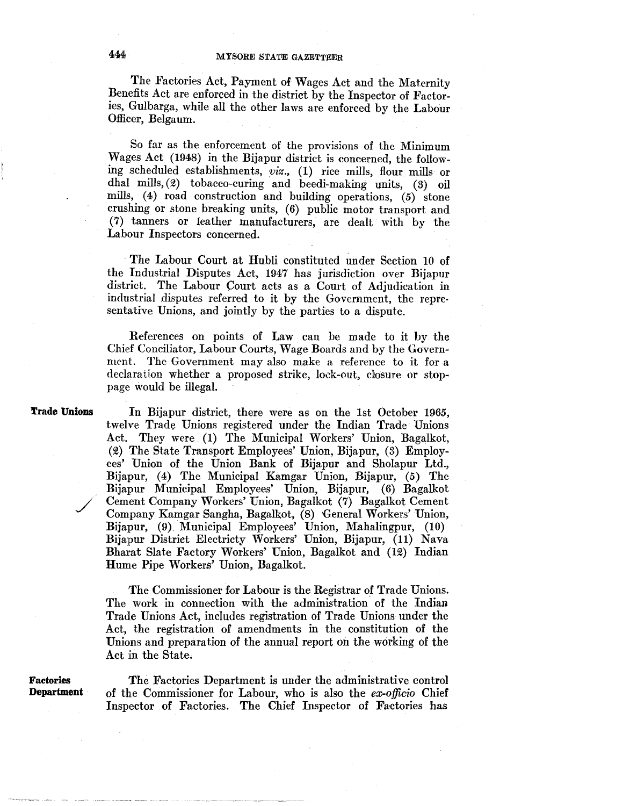The Factories Act, Payment of Wages Act and the Maternity Benefits Act are enforced in the district by the Inspector of Factories, Gulbarga, while all the other laws are enforced by the Labour Officer, Belgaum.

So far as the enforcement of the provisions of the Minimum Wages Act (1948) in the Bijapur district is concerned, the following scheduled establishments, *viz.,* (1) rice mills, flour mills or dhal mills,  $(2)$  tobacco-curing and beedi-making units,  $(3)$  oil mills, (4) road construction and building operations, (5) stone crushing or stone breaking units, (6) public motor transport and (7) tanners or leather manufacturers, are dealt with by the Labour Inspectors concerned.

The Labour Court at Hubli constituted under Section 10 of the Industrial Disputes Act, 1947 has jurisdiction over Bijapur district. The Labour Court acts as a Court of Adjudication in industrial disputes referred to it by the Government, the repre· sentative Unions, and jointly by the parties to a dispute.

References on points of Law can be made to it by the Chief Conciliator, Labour Courts, Wage Boards and by the Government. The Government may also make a reference to it for a declaration whether a proposed strike, loek-out, dosure or stoppage would be illegal.

**l'rade Unions** 

In Bijapur district, there were as on the 1st October *1965,*  twelve Trade Unions registered under the Indian Trade Unions Act. They were (1) The Municipal Workers' Union, Bagalkot, (2) The State Transport Employees' Union, Bijapur, (3) Employees' Union of the Union Bank of Bijapur and Sholapur Ltd., Bijapur, (4) The Municipal Kamgar Union, Bijapur, (5) The Bijapur Municipal Employees' Union, Bijapur, (6) Bagalkot Cement Company Workers' Union, Bagalkot (7) Bagalkot Cement Company Kamgar Sangha, Bagalkot, (8) General Workers' Union, Bijapur, (9). Municipal Employees' Union, Mahalingpur, (10) Bijapur District Electricty Workers' Union, Bijapur, (11) Nava Bharat Slate Factory Workers' Union, Bagalkot and (12) Indian Hume Pipe Workers' Union, Bagalkot.

The Commissioner for Labour is the Registrar of Trade Unions. The work in connection with the administration of the Indian Trade Unions Act, includes registration of Trade Unions under the Act, the registration of amendments in the constitution of the Unions and preparation of the annual report on the working of the Act in the State.

**Factories Department** 

The Factories Department is under the administrative control of the Commissioner for Labour, who is also the *ex-officio* Chief Inspector of Factories. The Chief Inspector of Factories has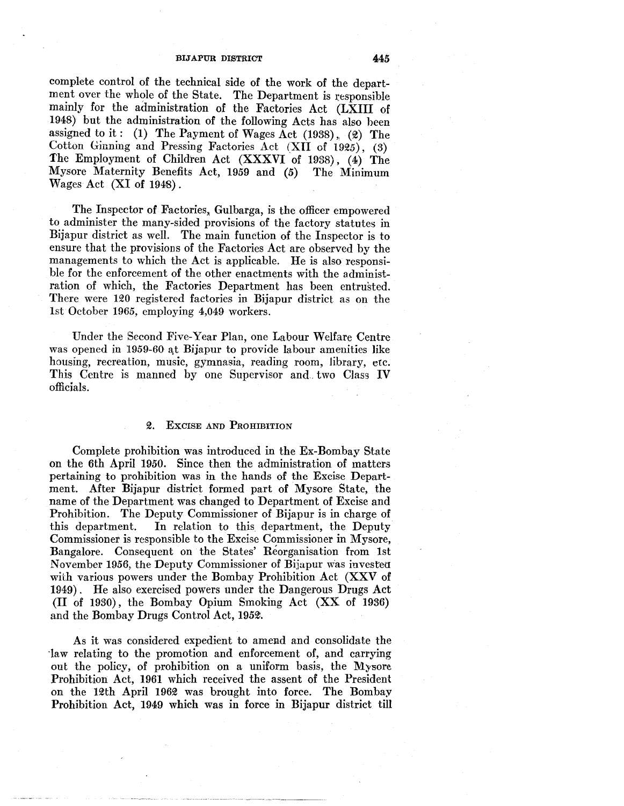complete control of the technical side of the work of the department over the whole of the State. The Department is responsible mainly for the administration of the Factories Act (LXIII of 1948) but the administration of the following Acts has also heen assigned to it: (1) The Payment of Wages Act  $(1938)$ ,  $(2)$  The Cotton Ginning and Pressing Factories Act *(XII of 1925)*, (3) The Employment of Children Act (XXXVI of 1938), (4) The Mysore Maternity Benefits Act, 1959 and (5) The Minimum Wages Act (XI of 1948).

The Inspector of Factories, Gulbarga, is the officer empowered to administer the many-sided provisions of the factory statutes in Bijapur district as well. The main function of the Inspector is to ensure that the provisions of the Factories Act are observed by the managements to which the Act is applicable. He is also responsible for the enforcement of the other enactments with the administration of which, the Factories Department has been entrusted. There were 120 registered factories in Bijapur district as on the lst October 1965, employing 4,049 workers.

Under the Second Five-Year Plan, one Labour Welfare Centre was opened in 1959-60 at Bijapur to provide labour amenities like housing, recreation, music, gymnasia, reading room, library, etc. This Centre is manned by one Supervisor and . two Class IV officials.

## 2. ExcisE AND PROHIBITION

Complete prohibition was introduced in the Ex-Bombay State on the 6th April 1950. Since then the administration of matters pertaining to prohibition was in the hands of the Excise Department. After Bijapur district formed part of Mysore State, the name of the Department was changed to Department of Excise and Prohibition. The Deputy Commissioner of Bijapur is in charge of this department. In relation to this department, the Deputy Commissioner is responsible to the Excise Commissioner in Mysore, Bangalore. Consequent on the States' Reorganisation from 1st November 1956, the Deputy Commissioner of Bijapur was invested with various powers under the Bombay Prohibition Act (XXV of 1949). He also exercised powers under the Dangerous Drugs Act (II of 1930), the Bombay Opium Smoking Act (XX of 1936) and the Bombay Drugs Control Act, 1952.

As it was considered expedient to amend and consolidate the ·law relating to the promotion and enforcement of, and carrying out the policy, of prohibition on a uniform basis, the Mysore Prohibition Act, 1961 which received the assent of the President on the 12th April 1962 was brought into force. The Bombay Prohibition Act, 1949 which was in force in Bijapur district till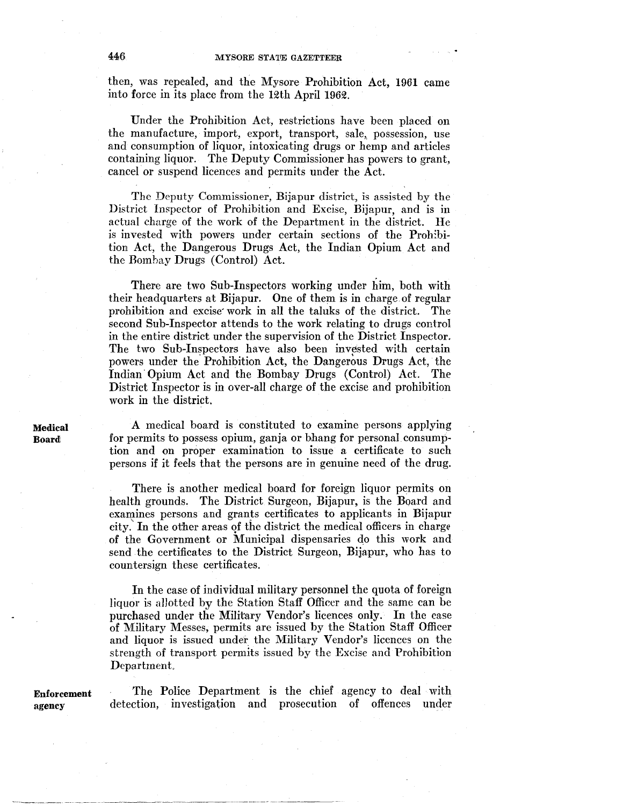then, was repealed, and the Mysore Prohibition Act, 1961 came into force in its place from the 12th April 1962.

Under the Prohibition Act, restrictions have been placed on the manufacture, import, export, transport, sale,, possession, use and consumption of liquor, intoxicating drugs or hemp and articles containing liquor. The Deputy Commissioner has powers to grant, cancel or suspend licences and permits under the Act.

The Deputy Commissioner, Bijapur district, is assisted by the District Inspector of Prohibition and Excise, Bijapur, and is in actual charge of the work of the Department in the district. He is invested with powers under certain sections of the Proh:bition Act, the Dangerous Drugs Act, the Indian Opium Act and the Bombay Drugs (Control) Act.

There are two Sub-Inspectors working under him, both with their headquarters at Bijapur. One of them is in charge.of regular prohibition and excise· work in all the taluks of the district. The second Sub-Inspector attends to the work relating to drugs control in the entire district under the supervision of the District Inspector. The two Sub-Inspectors have also been invested with certain powers under the. Prohibition Act, the Dangerous Drugs Act, the Indian· Opium Act and the Bombay Drugs (Control) Act. The District Inspector is in over-all charge of the excise and prohibition work in the district.

A medical board is constituted to examine persons applying for permits to possess opium, ganja or bhang for personal consumption and on proper examination to issue a certificate to such persons if it feels that the persons are in genuine need of the drug.

There is another medical board for foreign liquor permits on health grounds. The District Surgeon, Bijapur, is the Board and examines persons and grants certificates to applicants in Bijapur city.' In the other areas qf the district the medical officers in charge of the Government or Municipal dispensaries do this work and send the certificates to the District Surgeon, Bijapur, who has to countersign these certificates.

In the case of individual military personnel the quota of foreign liquor is allotted by the Station Staff Officer and the same can be purchased under the Military Vendor's licences only. In the case of Military Messes, permits are issued by the Station Staff Officer and liquor is issued under the Military Vendor's licences on the strength of transport permits issued by the Excise and Prohibition Department.

**Enforcement**  agency

The Police Department is the chief agency to deal with detection, investigation and prosecution of offences under

**Medical Board**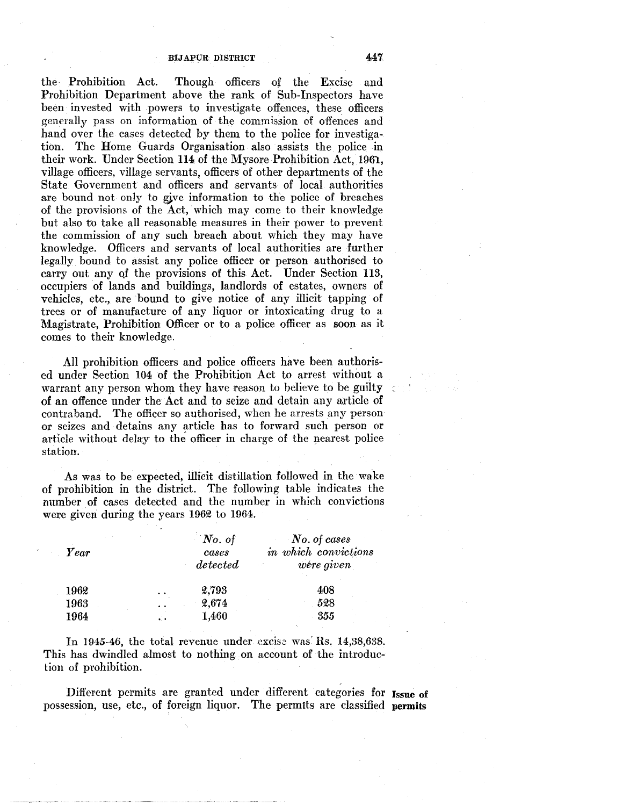the· Prohibition Act. Though officers of the Excise and Prohibition Department above the rank of Sub-Inspectors have been invested with powers to investigate offences, these officers generally pass on information of the commission of offences and hand over the cases detected by them to the police for investigation. The Home Guards Organisation also assists the police in their work. Under Section 114 of the Mysore Prohibition Act, 1961, village officers, village servants, officers of other departments of the State Government and officers and servants of local authorities are bound not only to give information to the police of breaches of the provisions of the Act, which may come to their knowledge but also to take all reasonable measures in their power to prevent the commission of any such breach about which they may have knowledge. Officers and servants of local authorities are further legally bound to assist any police officer or person authorised to carry out any of the provisions of this Act. Under Section 113, occupiers of lands and buildings, landlords of estates, owners of vehicles, etc., are bound to give notice of any illicit tapping of trees or of manufacture of any liquor or intoxicating drug to a Magistrate, Prohibition Officer or to a police officer as soon as it comes to their knowledge.

All prohibition officers and police officers have been authorised under Section 104 of the Prohibition Act to arrest without a warrant any person whom they have reason to believe to be guilty of an offence under the Act and to seize and detain any article of contraband. The officer so authorised, when he arrests any person or seizes and detains any article has to forward such person or article without delay to the officer in charge of the nearest police station.

As was to be expected, illicit distillation followed in the wake of prohibition in the district. The following table indicates the number of cases detected and the number in which convictions were given during the years 1962 to 1964.

| $\it Year$ |                      | No. of<br>cases<br>detected | No. of cases<br>in which convictions<br>were given |
|------------|----------------------|-----------------------------|----------------------------------------------------|
| 1962       | $\ddot{\phantom{1}}$ | 2,793                       | 408                                                |
| 1963       | $\ddot{\phantom{1}}$ | 2,674                       | 528                                                |
| 1964       | εŀ.                  | 1,460                       | 355                                                |

In 1945-46, the total revenue under excise was Rs. 14,38,638. This has dwindled almost to nothing on account of the introduction of prohibition.

Different permits are granted under different categories for Issue of possession, use, etc., of foreign liquor. The permits are classified **permits**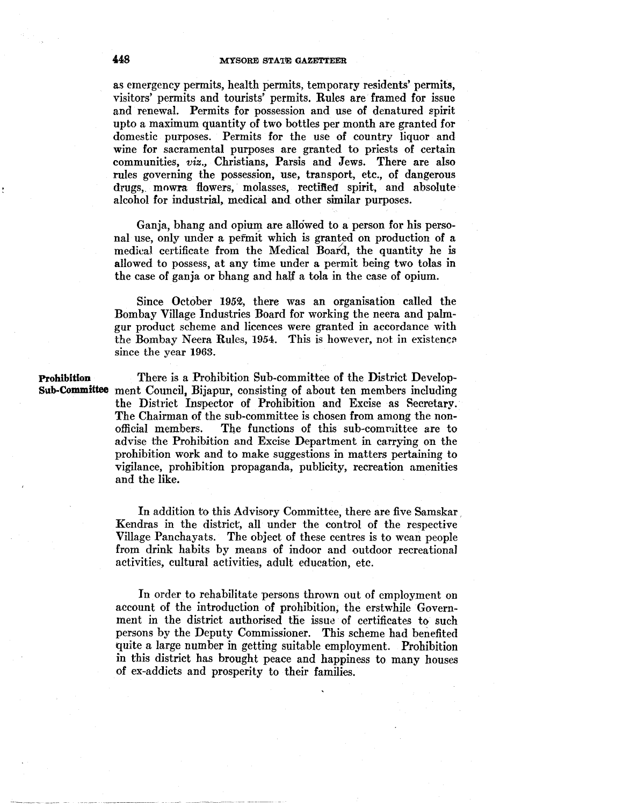# **448 MYSORE STATE GAZETTEER**

as emergency permits, health permits, temporary residents' permits, visitors' permits and tourists' permits. Rules are framed for issue and renewal. Permits for possession and use of denatured spirit upto a maximum quantity of two bottles per month are granted for domestic purposes. Permits for the use of country liquor and wine for sacramental purposes are granted to priests of certain communities, *viz.,* Christians, Parsis and Jews. There are also rules governing the possession, use, transport, etc., of dangerous drugs,. mowra flowers, molasses, rectified spirit, and absolute alcohol for industrial, medical and other similar purposes.

Ganja, bhang and opium are allowed to a person for his personal use, only under a pefmit which is granted on production of a medical certificate from the Medical Board, the quantity he is allowed to possess, at any time under a permit being two tolas in the case of ganja or bhang and half a tola in the case of opium.

Since October 1952, there was an organisation called the Bombay Village Industries Board for working the neera and palmgur product scheme and licences were granted in accordance with the Bombay Neera Rules, 1954. This is however, not in existence since the year 1963.

**Prohibition** 

**Sub-Committee**  ment Council, Bijapur, consisting of about ten members including There is a Prohibition Sub-committee of the District Developthe District Inspector of Prohibition and Excise as Secretary. The Chairman of the sub-committee is chosen from among the nonofficial members. The functions of this sub-committee are to advise the Prohibition and Excise Department in carrying on the prohibition work and to make suggestions in matters pertaining to vigilance, prohibition propaganda, publicity, recreation amenities and the like.

> In addition to this Advisory Committee, there are five Samskar. Kendras in the district, all under the control of the respective Village Panchayats. The object of these centres is to wean people from drink habits by means of indoor and outdoor recreational activities, cultural activities, adult education, etc.

> In order to rehabilitate persons thrown out of employment on account of the introduction of prohibition, the erstwhile Government in the district authorised the issue of certificates to such persons by the Deputy Commissioner. This scheme had benefited quite a large number in getting suitable employment. Prohibition in this district has brought peace and happiness to many houses of ex-addicts and prosperity to their families.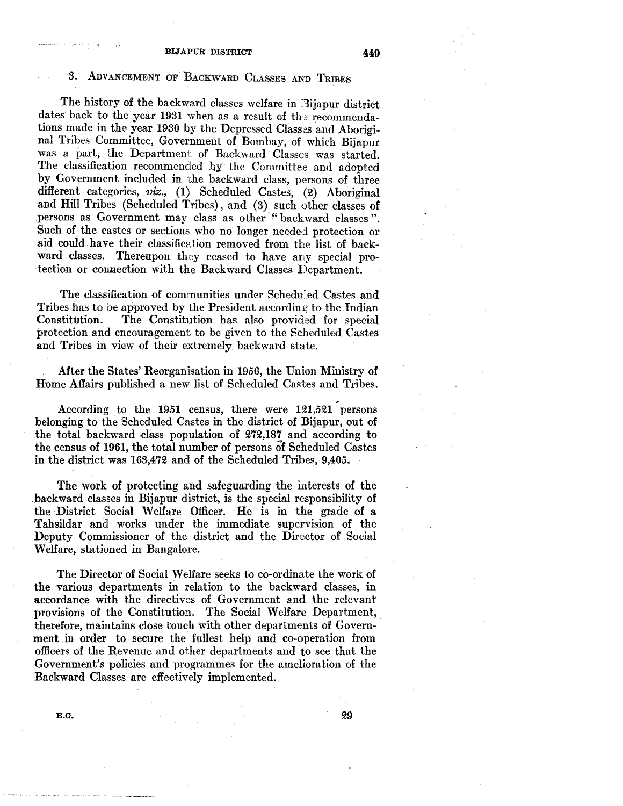# 3. ADVANCEMENT OF BACKWARD CLASSES AND TRIBES

The history of the backward classes welfare in Bijapur district dates back to the year 1931 when as a result of the recommendations made in the year 1930 by the Depressed Classes and Aboriginal Tribes Committee, Government of Bombay, of which Bijapur was a part, the Department of Backward Classes was started. The classification recommended  $hy$  the Committee and adopted by Government included in the backward class, persons of three different categories, *viz.,* (1) Scheduled Castes, (2). Aboriginal and Hill Tribes (Scheduled Tribes), and (3) such other classes of persons as Government may class as other "backward classes". Such of the castes or sections who no longer needed protection or aid could have their classification removed from the list of backward classes. Thereupon they ceased to have any special protection or connection with the Backward Classes Department.

The classification of communities under Scheduled Castes and Tribes has to be approved by the President according to the Indian Constitution. The Constitution has also provided for special protection and encouragement to be given to the Scheduled Castes and Tribes in view of their extremely backward state.

After the States' Reorganisation in 1956, the Union Ministry of Home Affairs published a new list of Scheduled Castes and Tribes.

According to the 1951 census, there were 121,521 persons belonging to the Scheduled Castes in the district of Bijapur, out of the total backward dass population of 272,187 and according to the census of 1961, the total number of persons of Scheduled Castes in the district was 163,472 and of the Scheduled Tribes, 9,405.

The work of protecting and safeguarding the interests of the backward classes in Bijapur district, is the special responsibility of the District Social Welfare Officer. He is in the grade of a Tahsildar and works under the immediate supervision of the Deputy Commissioner of the district and the Director of Social Welfare, stationed in Bangalore.

The Director of Social Welfare seeks to co-ordinate the work of the various departments in relation' to the backward classes, in accordance with the directives of Government and the relevant provisions of the Constitution. The Social Welfare Department, therefore, maintains close touch with other departments of Government .in order to secure the fullest help and co-operation from officers of the Revenue and other departments and to see that the Government's policies and programmes for the amelioration of the Backward Classes are effectively implemented.

29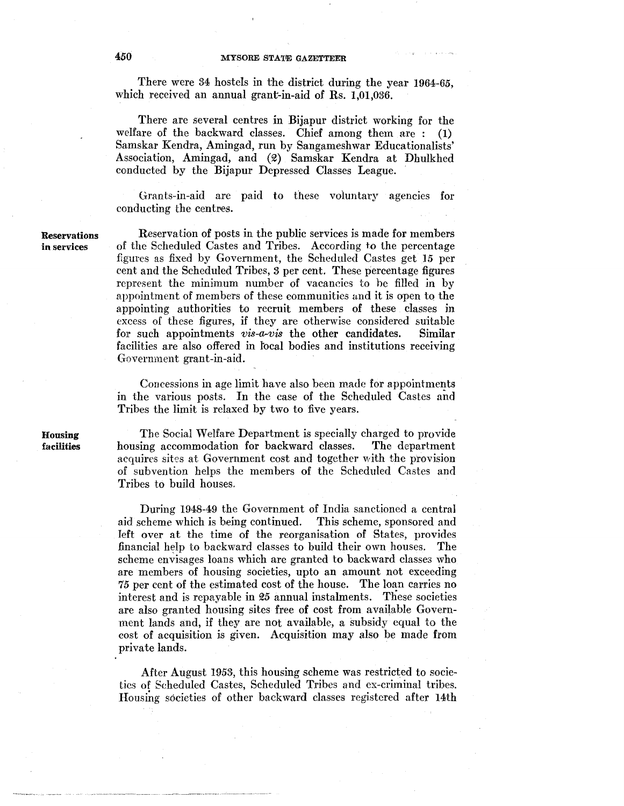There were 34 hostels in the district during the year 1964-65, which received an annual grant-in-aid of Rs. 1,01,036.

There are several centres in Bijapur district working for the welfare of the backward classes. Chief among them are : (1) Samskar Kendra, Amingad, run by Sangameshwar Educationalists' Association, Amingad, and (2) Samskar Kendra at Dhulkhed conducted by the Bijapur Depressed Classes League.

Grants-in-aid are paid to these voluntary agencies for conducting the centres.

Reservations Reservation of posts in the public services is made for members in services of the Scheduled Castes and Tribes. According to the percentage figures as fixed by Government, the Scheduled Castes get 15 per cent and the Scheduled Tribes, 3 per cent. These percentage figures represent the minimum number of vacaneics to he filled in by appointment of members of these communities and it is open to the appointing authorities to recruit members of these classes in excess of these figures, if they are otherwise considered suitable<br>for such appointments vis-a-vis the other candidates. Similar for such appointments *vis-a-vis* the other candidates. facilities are also offered in focal bodies and institutions receiving Government grant-in-aid.

> Concessions in age limit have also been made for appointments in the various posts. In the case of the Scheduled Castes and Tribes the limit is relaxed by two to five years.

> The Social Welfare Department is specially charged to provide housing accommodation for backward classes. The department acquires sites at Government cost and together with the provision of subvention helps the members of the Scheduled Castes and Tribes to build houses.

> During 1948-49 the Government of India sanctioned a central aid scheme which is being continued. This scheme, sponsored and left over at the time of the reorganisation of States, provides financial help to backward classes to build their own houses. The scheme envisages loans which are granted to backward classes who are members of housing societies, upto an amount not exceeding 7.5 per cent of the estimated cost of the house. The loan carries no interest and is repayable in  $25$  annual instalments. These societies are also granted housing sites free of cost from available Government lands and, if they are not available, a subsidy equal to the cost of acquisition is given. Acquisition may also be made from private lands.

> After August 1953, this housing scheme was restricted to societies of Scheduled Castes, Scheduled Tribes and ex-criminal tribes. Housing societies of other backward classes registered after 14th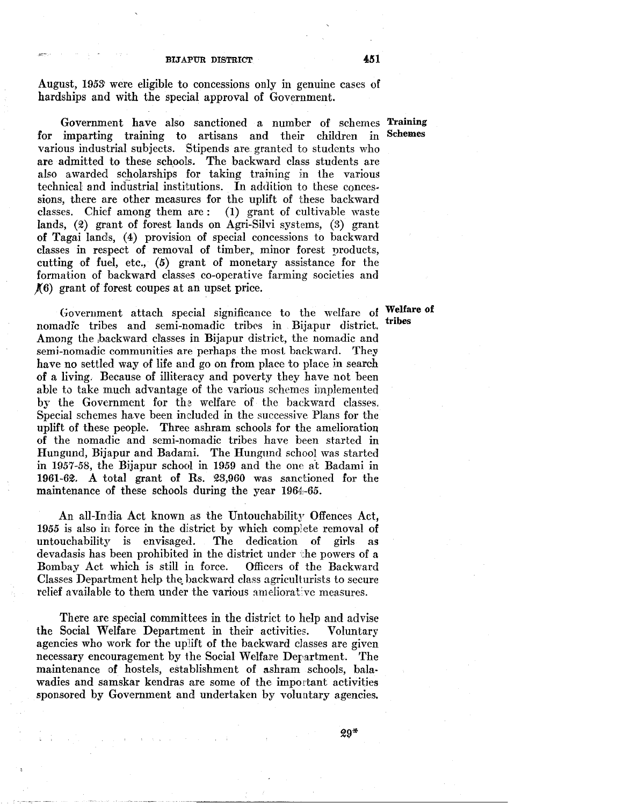August, 1953' were eligible to concessions only in genuine cases of hardships and with the special approval of Government.

Government have also sanctioned a number of schemes Training for imparting training to artisans and their children in various industrial subjects. Stipends are. granted to students who are admitted to these schools. The backward class students are also awarded scholarships for taking training in the various technical and industrial institutions. In addition to these conces· sions, there are other measures for the uplift of these backward classes. Chief among them are: (1) grant of cultivable waste lands, (2) grant of forest lands on Agri-Silvi systems, (3) grant of Tagai lands, (4) provision of special concessions to backward classes in respect of removal of timber, minor forest products, cutting of fuel, etc., (5) grant of monetary assistance for the formation of backward classes co-operative farming societies and  $f(6)$  grant of forest coupes at an upset price.

Government attach special significance to the welfare of nomadic tribes and semi-nomadic tribes in Bijapur district. Among the backward classes in Bijapur district, the nomadic and semi-nomadic communities are perhaps the most backward. They have no settled way of life and go on from place to place in search of a living. Because of illiteracy and poverty they have not been able to take much advantage of the various schemes implemented by the Government for the welfare of the backward classes. Special schemes have been included in the successive Plans for the uplift of these people. Three ashram schools for the amelioration of the nomadic and semi-nomadic tribes have been started in Hungund, Bijapur and Badami. The Hungund school was started in 1957-58, the Bijapur school in 1959 and the one at Badami in 1961-62. A total grant of Rs. 23,960 was sanctioned for the maintenance of these schools during the year 1964,-65.

An all-India Act known as the Untouchability Offences Act, 1955 is also in force in the district by which complete removal of untouchability is envisaged. The dedication of girls as devadasis has been prohibited in the district under the powers of a Bombay Act which is still in force. Officers of the Backward Bombay Act which is still in force. Classes Department help the backward class agriculturists to secure relief available to them under the various ameliorative measures.

There are special committees in the district to help and advise the Social Welfare Department in their activities. Voluntary agencies who work for the uplift of the backward classes are given necessary encouragement by the Social Welfare Derartment. 'fhe maintenance of hostels, establishment of ashram schools, balawadies and samskar kendras are some of the important activities sponsored by Government and undertaken by voluntary agencies.

Schemes

Welfare of tribes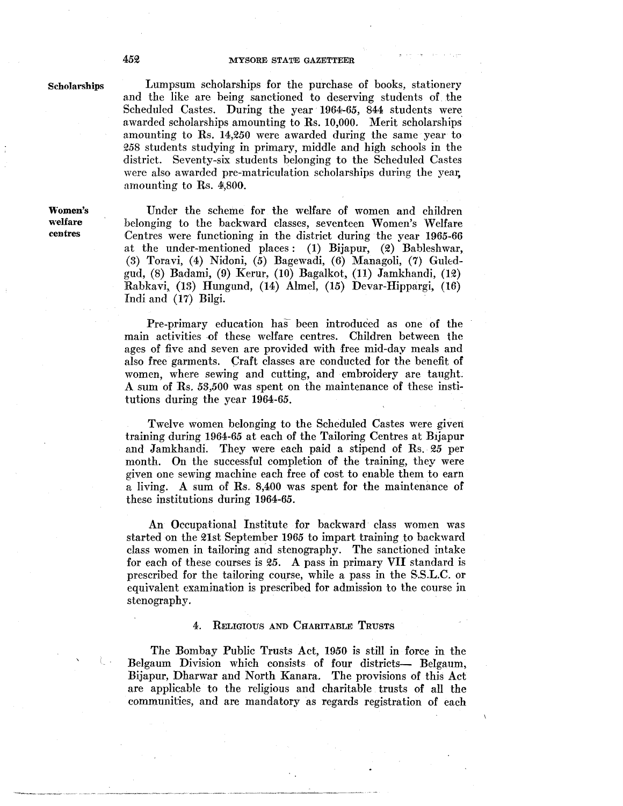### 452 MYSORE STATE GAZETTEER

### Scholarships

Women's welfare centres

Lumpsum scholarships for the purchase of books, stationery and the like are being sanctioned to deserving students of. the Scheduled Castes. During the year 1964-65, 844 students were awarded scholarships amounting to Rs. 10,000. Merit scholarships. amounting to Rs. 14,250 were awarded during the same year to Q58 students studying in primary, middle and high schools in the district. Seventy-six students belonging to the Scheduled Castes were also awarded pre-matriculation scholarships during the year, amounting to Rs. 4,800.

Under the scheme for the welfare of women and children belonging to the backward classes, seventeen Women's Welfare Centres were functioning in the district during the year 1965-66 at the under-mentioned places : (1) Bijapur, (2) Bableshwar, (3) Toravi, (4) Nidoni, (5) Bagewadi, (6) Managoli, (7) Guledgud, (8) Badami, (9) Kerur, (10) Bagalkot, (11) Jamkhandi, (H) Rabkavi, (13) Hungund, (14) Almel, (15) Devar-Hippargi, (16) Indi and (17) Bilgi.

Pre-primary education has been introduced as one of the main activities of these welfare centres. Children between the ages of five and seven are provided with free mid-day meals and also free garments. Craft classes are conducted for the benefit of women, where sewing and cutting, and embroidery are taught. A sum of Rs. 53,500 was spent on the maintenance of these institutions during the year 1964-65.

Twelve women belonging to the Scheduled Castes were given training during 1964-65 at each of the Tailoring Centres at Bijapur and Jamkhandi. They were each paid a stipend of Rs. 25 per month. On the successful completion of the training, they were given one sewing machine each free of cost to enable them to earn a living. A sum of Rs. 8,400 was spent for the maintenance of these institutions during 1964-65.

An Occupational Institute for backward class women was started on the 21st September 1965 to impart training to backward class women in tailoring and stenography. The sanctioned intake for each of these courses is *25.* A pass in primary VII standard is prescribed for the tailoring course, while a pass in the S.S.L.C. or equivalent examination is prescribed for admission to the course in stenography.

### 4. RELIGIOUS AND CHARITABLE TRUSTS

The Bombay Public Trusts Act, 1950 is still in force in the Belgaum Division which consists of four districts- Belgaum, Bijapur, Dharwar and North Kanara. The provisions of this Act are applicable to the religious and charitable trusts of all the communities, and are mandatory as regards registration of each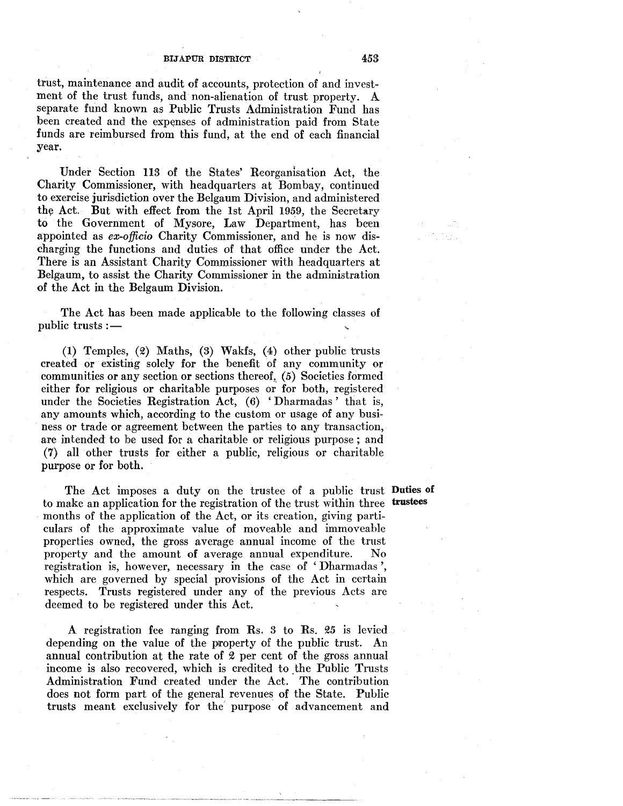trust, maintenance and audit of accounts, protection of and investment of the trust funds, and non-alienation of trust property. A separate fund known as Public Trusts Administration Fund has been created and the expenses of administration paid from State funds are reimbursed from this fund, at the end of each financial year.

Under Section 113 of the States' Reorganisation Act, the Charity Commissioner, with headquarters at Bombay, continued to exercise jurisdiction over the Belgaum Division, and administered the Act. But with effect from the 1st April 1959, the Secretary to the Government of Mysore, Law Department, has been appointed as *ex-officio* Charity Commissioner, and he is now discharging the functions and duties of that office under the Act. There is an Assistant Charity Commissioner with headquarters at Belgaum, to assist the Charity Commissioner in the administration of the Act in the Belgaum Division.

The Act has been made applicable to the following classes of public trusts :-

 $(1)$  Temples,  $(2)$  Maths,  $(3)$  Wakfs,  $(4)$  other public trusts created or existing solely for the benefit of any community or communities or any section or sections thereof, (5) Societies formed either for religious or charitable purposes or for both, registered under the Societies Registration Act, (6) 'Dharmadas' that is, any amounts which, according to the custom or usage of any business or trade or agreement between the parties to any transaction, are intended to be used for a charitable or religious purpose ; and (7) all other trusts for either a public, religious or charitable purpose or for both.

The Act imposes a duty on the trustee of a public trust Duties of to make an application for the registration of the trust within three trustees months of the application of the Act, or its creation, giving particulars of the approximate value of moveable and immoveable properties owned, the gross average annual income of the trust property and the amount of average annual expenditure. No registration is, however, necessary in the case of 'Dharmadas ', which are governed by special provisions of the Act in certain respects. Trusts registered under any of the previous Acts are deemed to be registered under this Act.

A registration fee ranging from  $\mathbb{R}s$ . 3 to  $\mathbb{R}s$ . 25 is levied depending on the value of the property of the public trust. An annual contribution at the rate of  $2$  per cent of the gross annual income is also recovered, which is credited to the Public Trusts Administration Fund created under the Act. The contribution does not form part of the general revenues of the State. Public trusts meant exclusively for the' purpose of advancement and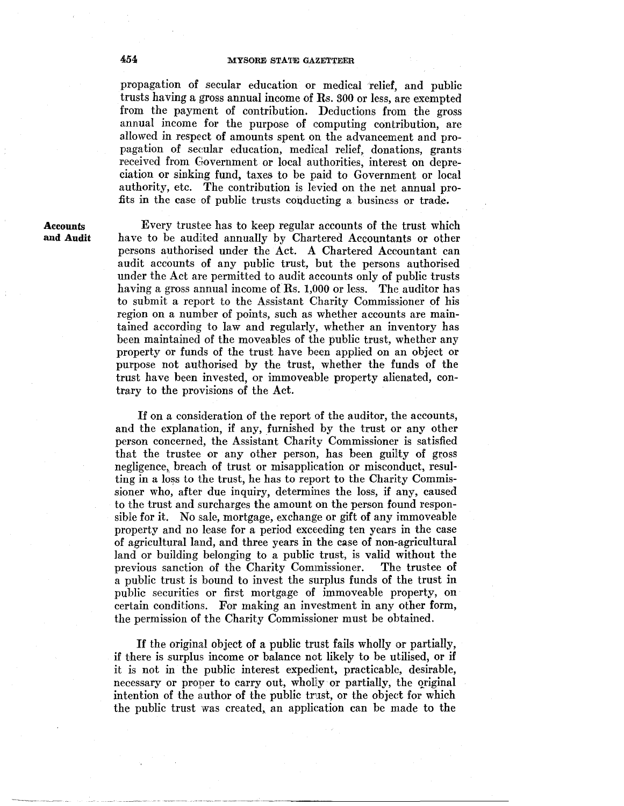# 454 MYSORE STATE GAZETTEER

propagation of secular education or medical relief, and public trusts having a gross annual income of Rs. 300 or less, are exempted from the payment of contribution. Deductions from the gross annual income for the purpose of computing contribution, are allowed in respect of amounts spent on the advancement and propagation of secular education, medical relief, donations, grants received from Government or local authorities, interest on depreciation or sinking fund, taxes to be paid to Government or local authority, etc. The contribution is levied on the net annual profits in the case of public trusts conducting a business or trade.

**Accounts** and Audit

Every trustee has to keep regular accounts of the trust which have to be audited annually by Chartered Accountants or other persons authorised under the Act. A Chartered Accountant can audit accounts of any public trust, but the persons authorised under the Act are permitted to audit accounts only of public trusts having a gross annual income of  $\text{Rs. } 1,000$  or less. The auditor has to submit a report to the Assistant Charity Commissioner of his region on a number of points, such as whether accounts are maintained according to law and regularly, whether an inventory has been maintained of the moveables of the public trust, whether any property or funds of the trust have been applied on an object or purpose not authorised by the trust, whether the funds of the trust have been invested, or immoveable property alienated, contrary to the provisions of the Act.

If on a consideration of the report of the auditor, the accounts, and the explanation, if any, furnished by the trust or any other person concerned, the Assistant Charity Commissioner is satisfied that the trustee or any other person, has been guilty of gross negligence, breach of trust or misapplication or misconduct, resulting in a loss to the trust, he has to report to the Charity Commissioner who, after due inquiry, determines the loss, if any, caused to the trust and surcharges the amount on the person found responsible for it. No sale, mortgage, exchange or gift of any immoveable property and no lease for a period exceeding ten years in the case of agricultural land, and three years in the case of non-agricultural land or building belonging to a public trust, is valid without the previous sanction of the Charity Commissioner. The trustee of a public trust is bound to invest the surplus funds of the trust in public securities or first mortgage of immoveable property, on certain conditions. For making an investment in any other form, the permission of the Charity Commissioner must be obtained.

If the original object of a public trust fails wholly or partially, if there is surplus income or balance not likely to be utilised, or if it is not in the public interest expedient, practicable, desirable, necessary or proper to carry out, wholly or partially, the original intention of the author of the public trust, or the object for which the public trust was created, an application can be made to the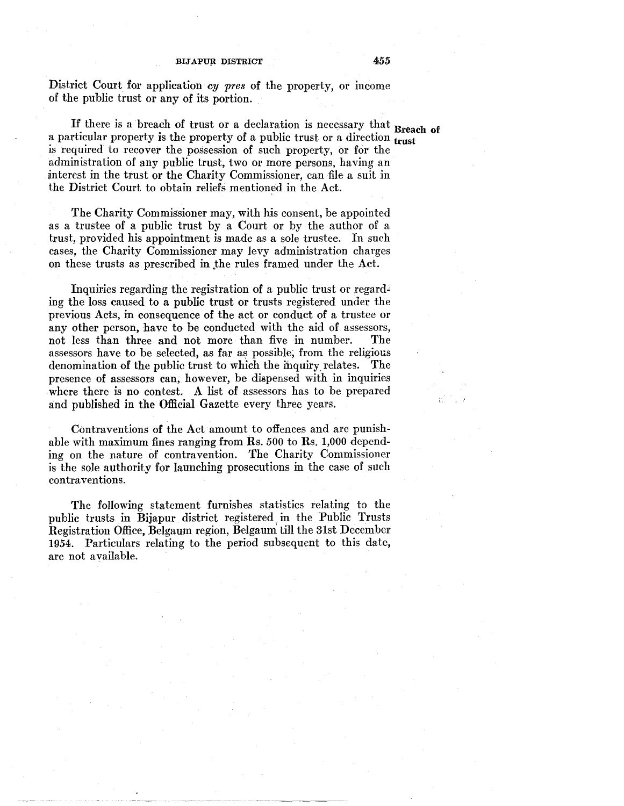District Court for application *cy pres* of the property, or income of the public trust or any of its portion.

If there is a breach of trust or a declaration is necessary that Breach of a particular property is the property of a public trust or a direction  $\frac{1}{\text{trust}}$ is required to recover the possession of such property, or for the administration of any public trust, two or more persons, having an \interest in the trust or the Charity Commissioner, can file a suit in the District Court to obtain reliefs mentioned in the Act.

The Charity Commissioner may, with his consent, be appointed as a trustee of a public trust by a Court or by the author of a trust, provided his appointment is made as a sole trustee. In such cases, the Charity Commissioner may levy administration charges on these trusts as prescribed in .the rules framed under the Act.

Inquiries regarding the registration of a public trust or regarding the loss caused to a public trust or trusts registered under the previous Acts, in consequence of the act or conduct of a trustee or any other person, have to be conducted with the aid of assessors, not less than three and not more than five in number. The assessors have to be selected, as far as possible; from the religious denomination of the public trust to which the mquiry\_ relates. The presence of assessors can, however, be diapensed with in inquiries where there is no contest. A list of assessors has to be prepared and published in the Official Gazette every three years.

Contraventions of the Act amount to offences and are punishable with maximum fines ranging from Rs. *500* to Rs. 1,000 depending on the nature of contravention. The Charity Commissioner is the sole authority for launching prosecutions in the case of such contraventions.

The following statement furnishes statistics relating to the public trusts in Bijapur district registered in the Public Trusts Registration Office, Belgaum region, Belgaum till the 31st December 1954. Particulars relating to the period subsequent to this date, are not available.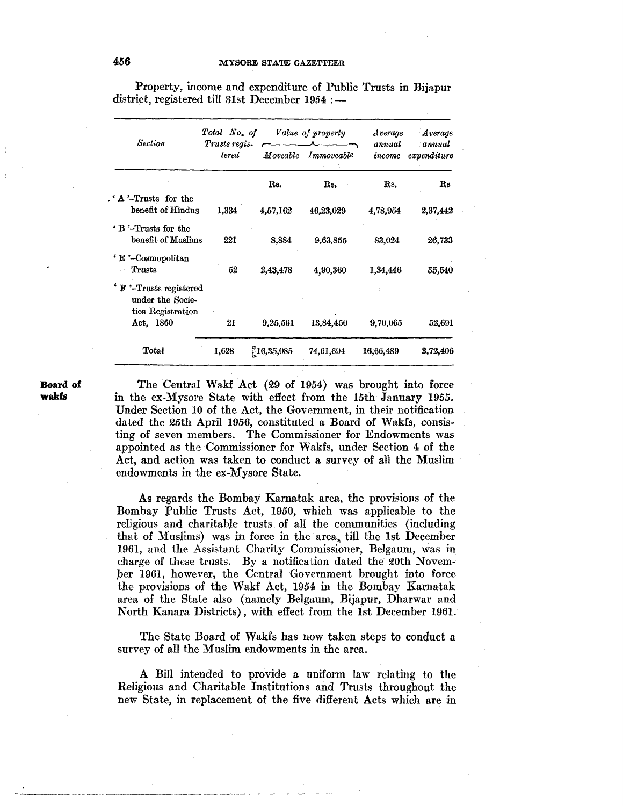| Section                                                                                  | Total No. of<br>Trusts regis-<br>$\it {tered}$ | Value of property |            | Average          | Average               |
|------------------------------------------------------------------------------------------|------------------------------------------------|-------------------|------------|------------------|-----------------------|
|                                                                                          |                                                | Moveable          | Immoveable | annual<br>income | annual<br>expenditure |
|                                                                                          |                                                | Rs.               | Rs.        | Rs.              | $_{\rm Re}$           |
| A '-Trusts for the<br>benefit of Hindus<br>1,334                                         |                                                | 4,57,162          | 46,23,029  | 4,78,954         | 2,37,442              |
| <b>B</b> '-Trusts for the<br>benefit of Muslims                                          | 221                                            | 8,884             | 9,63,855   | 83,024           | 26,733                |
| ' E '-Cosmopolitan<br>Trusts                                                             | 52                                             | 2,43,478          | 4,90,360   | 1.34,446         | 55,540                |
| <sup>4</sup> F '-Trusts registered<br>under the Socie-<br>ties Registration<br>Act, 1860 | 21                                             | 9,25,561          | 13,84,450  |                  | 52,691                |
|                                                                                          |                                                |                   |            | 9,70,065         |                       |
| Total                                                                                    | 1,628                                          | 16,35,085         | 74,61,694  | 16,66,489        | 3,72,406              |

Property, income and expenditure of Public Trusts in Bijapur district, registered till 31st December  $1954$  :-

### **Board of wakfs**

The Central Wakf Act (29 of 1954) was brought into force in the ex~Mysore State with effect from the 15th January 1955. Under Section 10 of the Act, the Government, in their notification dated the 25th April 1956, constituted a Board of Wakfs, consisting of seven members. The Commissioner for Endowments was appointed as the Commissioner for Wakfs, under Section 4 of the Act, and action was taken to conduct a survey of all the Muslim endowments in the ex-Mysore State.

As regards the Bombay Karnatak area, the provisions of the Bombay Public Trusts Act, 1950, which was applicable to the religious and charitable trusts of all the communities (including that of Muslims) was in force in the area, till the 1st December 1961, and the Assistant Charity Commissioner, Belgaum, was in charge of these trusts. By a notification dated the 20th Novem ber 1961, however, the Central Government brought into force the provisions of the Wakf Act, 1954 in the Bombay Karnatak area of the State also (namely Belgaum, Bijapur, Dharwar and North Kanara Districts), with effect from the 1st December 1961.

The State Board of Wakfs has now taken steps to conduct a survey of all the Muslim endowments in the area.

A Bill intended to provide a uniform law relating to the Religious and Charitable Institutions and Trusts throughout the new State, in replacement of the five different Acts which are in